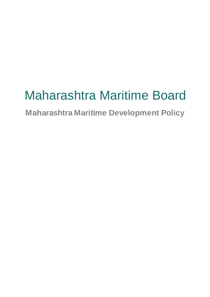# Maharashtra Maritime Board

**Maharashtra Maritime Development Policy**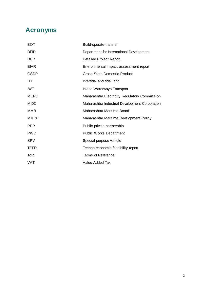# **Acronyms**

| вот         | Build-operate-transfer                         |
|-------------|------------------------------------------------|
| <b>DFID</b> | Department for International Development       |
| <b>DPR</b>  | <b>Detailed Project Report</b>                 |
| EIAR        | Environmental impact assessment report         |
| <b>GSDP</b> | <b>Gross State Domestic Product</b>            |
| ITT         | Intertidal and tidal land                      |
| <b>IWT</b>  | <b>Inland Waterways Transport</b>              |
| <b>MERC</b> | Maharashtra Electricity Regulatory Commission  |
| <b>MIDC</b> | Maharashtra Industrial Development Corporation |
| ММВ         | Maharashtra Maritime Board                     |
| <b>MMDP</b> | Maharashtra Maritime Development Policy        |
| <b>PPP</b>  | Public-private partnership                     |
| <b>PWD</b>  | <b>Public Works Department</b>                 |
| SPV         | Special purpose vehicle                        |
| <b>TEFR</b> | Techno-economic feasibility report             |
| <b>ToR</b>  | <b>Terms of Reference</b>                      |
| VAT         | Value Added Tax                                |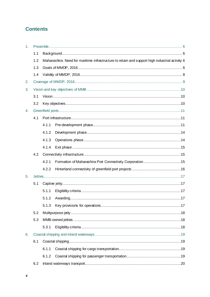# **Contents**

| 1 <sub>1</sub> |     |       |                                                                                                |  |  |  |
|----------------|-----|-------|------------------------------------------------------------------------------------------------|--|--|--|
|                | 1.1 |       |                                                                                                |  |  |  |
|                | 1.2 |       | Maharashtra: Need for maritime infrastructure to retain and support high industrial activity 6 |  |  |  |
|                | 1.3 |       |                                                                                                |  |  |  |
|                | 1.4 |       |                                                                                                |  |  |  |
| 2.             |     |       |                                                                                                |  |  |  |
| 3.             |     |       |                                                                                                |  |  |  |
|                | 3.1 |       |                                                                                                |  |  |  |
|                | 3.2 |       |                                                                                                |  |  |  |
| 4.             |     |       |                                                                                                |  |  |  |
|                | 4.1 |       |                                                                                                |  |  |  |
|                |     | 4.1.1 |                                                                                                |  |  |  |
|                |     | 4.1.2 |                                                                                                |  |  |  |
|                |     | 4.1.3 |                                                                                                |  |  |  |
|                |     | 4.1.4 |                                                                                                |  |  |  |
|                | 4.2 |       |                                                                                                |  |  |  |
|                |     | 4.2.1 |                                                                                                |  |  |  |
|                |     | 4.2.2 |                                                                                                |  |  |  |
| 5.             |     |       |                                                                                                |  |  |  |
|                | 5.1 |       |                                                                                                |  |  |  |
|                |     | 5.1.1 |                                                                                                |  |  |  |
|                |     | 5.1.2 |                                                                                                |  |  |  |
|                |     | 5.1.3 |                                                                                                |  |  |  |
|                | 5.2 |       |                                                                                                |  |  |  |
|                | 5.3 |       |                                                                                                |  |  |  |
|                |     | 5.3.1 |                                                                                                |  |  |  |
| 6.             |     |       |                                                                                                |  |  |  |
|                | 6.1 |       |                                                                                                |  |  |  |
|                |     | 6.1.1 |                                                                                                |  |  |  |
|                |     | 6.1.2 |                                                                                                |  |  |  |
|                | 6.2 |       |                                                                                                |  |  |  |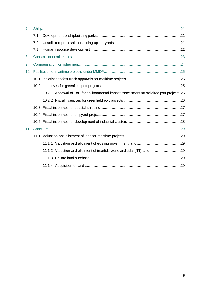| 7.  |     |                                                                                           |  |  |  |
|-----|-----|-------------------------------------------------------------------------------------------|--|--|--|
|     | 7.1 |                                                                                           |  |  |  |
|     | 7.2 |                                                                                           |  |  |  |
|     | 7.3 |                                                                                           |  |  |  |
| 8.  |     |                                                                                           |  |  |  |
| 9.  |     |                                                                                           |  |  |  |
| 10. |     |                                                                                           |  |  |  |
|     |     |                                                                                           |  |  |  |
|     |     |                                                                                           |  |  |  |
|     |     | 10.2.1 Approval of ToR for environmental impact assessment for solicited port projects.26 |  |  |  |
|     |     |                                                                                           |  |  |  |
|     |     |                                                                                           |  |  |  |
|     |     |                                                                                           |  |  |  |
|     |     |                                                                                           |  |  |  |
| 11. |     |                                                                                           |  |  |  |
|     |     |                                                                                           |  |  |  |
|     |     |                                                                                           |  |  |  |
|     |     | 11.1.2 Valuation and allotment of intertidal zone and tidal (ITT) land 29                 |  |  |  |
|     |     |                                                                                           |  |  |  |
|     |     |                                                                                           |  |  |  |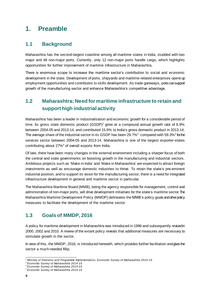# <span id="page-5-0"></span>**1. Preamble**

# <span id="page-5-1"></span>**1.1 Background**

Maharashtra has the second-largest coastline among all maritime states in India, studded with two major and 48 non-major ports. Currently, only 12 non-major ports handle cargo, which highlights opportunities for further improvement of maritime infrastructure in Maharashtra.

There is enormous scope to increase the maritime sector's contribution to social and economic development in the state. Development of ports, shipyards and maritime-related enterprises opens up employment opportunities and contributes to skills development. As trade gateways, ports can support growth of the manufacturing sector and enhance Maharashtra's competitive advantage.

# <span id="page-5-2"></span>**1.2 Maharashtra: Need for maritime infrastructure to retain and support high industrial activity**

Maharashtra has been a leader in industrialisation and economic growth for a considerable period of time. Its gross state domestic product  $(GSDP)^1$  grew at a compound annual growth rate of 8.9% between 2004-05 and 2013-14, and contributed 15.6% to India's gross domestic product in 2013-14. The average share of the industrial sector in its GSDP has been 29.7%<sup>2</sup> compared with 59.3%<sup>3</sup> forthe services sector between 2004-05 and 2013-14. Maharashtra is one of the largest exporter-states contributing about 27%<sup>4</sup> of overall exports from India.

Of late, there have been many changes in the external environment including a sharper focus of both the central and state governments on boosting growth in the manufacturing and industrial sectors. Ambitious projects such as 'Make in India' and 'Make in Maharashtra' are expected to attract foreign investments as well as encourage domestic industries to thrive. To retain the state's pre-eminent industrial position, and to support its vision for the manufacturing sector, there is a need for integrated infrastructure development in general and maritime sector in particular.

The Maharashtra Maritime Board (MMB), being the agency responsible for management, control and administration of non-major ports, will drive development initiatives for the state's maritime sector. The Maharashtra Maritime Development Policy (MMDP) delineates the MMB's policy goals and other policy measures to facilitate the development of the maritime sector.

# <span id="page-5-3"></span>**1.3 Goals of MMDP, 2016**

A policy for maritime development in Maharashtra was introduced in 1996 and subsequently revised in 2000, 2002 and 2010. A review of the extant policy reveals that additional measures are necessary to stimulate growth in the sector.

In view of this, the MMDP, 2016, is introduced herewith, which provides further facilitation and gives the sector a much-needed fillip.

l *<sup>1</sup> Ministry of Statistics and Programme Implementation, Economic Survey of Maharashtra 2014 -15*

*<sup>2</sup> Economic Survey of Maharashtra 2014-15*

*<sup>3</sup> Economic Survey of Maharashtra 2014-15*

*<sup>4</sup> Economic Survey of Maharashtra 2014-15*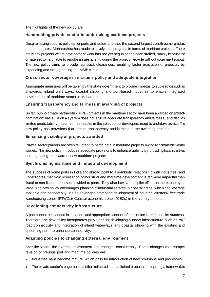The highlights of the new policy are:

# **Handholding private sector in undertaking maritime projects**

Despite having specific policies for ports and jetties and also the second-largest coastline among India's maritime states, Maharashtra has made relatively less progress in terms of maritime projects. There are many projects where development work has not yet begun or has been stalled, mainly because the private sector is unable to resolve issues arising during the project lifecycle without government support. The new policy aims to provide fast-track clearances, enabling faster execution of projects, by expanding and strengthening the MMB's role.

# **Cross-sector coverage in maritime policy and adequate integration**

Appropriate measures will be taken by the state government to provide impetus to sub-sectors such as shipyards, inland waterways, coastal shipping and port-based industries to enable integrated development of maritime sector in Maharashtra.

# **Ensuring transparency and fairness in awarding of projects**

So far, public-private partnership (PPP) projects in the maritime sector have been awarded on a 'directnomination' basis. Such a system does not ensure adequate transparency and fairness, and also has limited predictability. It sometimes results in the selection of developers inapt to undertake projects.The new policy has provisions that ensure transparency and fairness in the awarding process.

### **Enhancing viability of projects awarded**

Private sector players are often reluctant to participate in maritime projects owing to commercial viability issues. The new policy introduces adequate provisions to enhance viability by providing fiscalincentives and regulating the award of new maritime projects.

### **Synchronising maritime and industrial development**

The success of some ports in India and abroad point to a symbiotic relationship with industries, and underscores that synchronisation of industrial and maritime development is far more impactful than fiscal or non-fiscal incentives provided to ports. They also have a multiplier effect on the economy at large. The new policy encourages planning of industrial estates in coastal areas, which can leverage available port connectivity. It also envisages promoting development of industrial clusters/ free trade warehousing zones (FTWZs)/ Coastal economic zones (CEZs) in the vicinity of ports.

### **Developing connectivity infrastructure**

A port cannot be planned in isolation, and appropriate support infrastructure is critical to its success. Therefore, the new policy incorporates provisions for developing support infrastructure such as rail/ road connectivity and integration of inland waterways and coastal shipping with the existing and upcoming ports to enhance connectivity.

# **Adapting policies to changing external environment**

Over the years, the external environment has changed considerably. Some changes that compel revision of previous port and maritime policies are:

- **■** Industries have become mature, which calls for introduction of new provisions and processes.
- The private sector's eagerness is often reflected in unsolicited proposals, requiring a framework to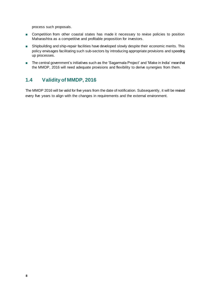process such proposals.

- Competition from other coastal states has made it necessary to revise policies to position Maharashtra as a competitive and profitable proposition for investors.
- Shipbuilding and ship-repair facilities have developed slowly despite their economic merits. This policy envisages facilitating such sub-sectors by introducing appropriate provisions and speeding up processes.
- The central government's initiatives such as the 'Sagarmala Project' and 'Make in India' meanthat the MMDP, 2016 will need adequate provisions and flexibility to derive synergies from them.

# <span id="page-7-0"></span>**1.4 Validity of MMDP, 2016**

The MMDP 2016 will be valid for five years from the date of notification. Subsequently, it will be revised every five years to align with the changes in requirements and the external environment.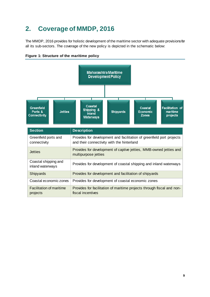# <span id="page-8-0"></span>**2. Coverage of MMDP, 2016**

The MMDP, 2016 provides for holistic development of the maritime sector with adequate provisions for all its sub-sectors. The coverage of the new policy is depicted in the schematic below:



**Figure 1: Structure of the maritime policy**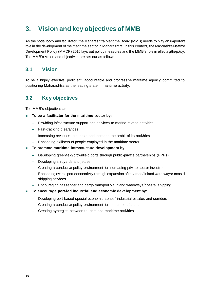# <span id="page-9-0"></span>**3. Vision and key objectives of MMB**

As the nodal body and facilitator, the Maharashtra Maritime Board (MMB) needs to play an important role in the development of the maritime sector in Maharashtra. In this context, the Maharashtra Maritime Development Policy (MMDP) 2016 lays out policy measures and the MMB's role in effecting the policy. The MMB's vision and objectives are set out as follows:

# <span id="page-9-1"></span>**3.1 Vision**

To be a highly effective, proficient, accountable and progressive maritime agency committed to positioning Maharashtra as the leading state in maritime activity.

# <span id="page-9-2"></span>**3.2 Key objectives**

The MMB's objectives are:

- **■ To be a facilitator for the maritime sector by:**
	- **‒** Providing infrastructure support and services to marine-related activities
	- **‒** Fast-tracking clearances
	- **‒** Increasing revenues to sustain and increase the ambit of its activities
	- **‒** Enhancing skillsets of people employed in the maritime sector
- **■ To promote maritime infrastructure development by:**
	- **‒** Developing greenfield/brownfield ports through public-private partnerships (PPPs)
	- **‒** Developing shipyards and jetties
	- **‒** Creating a conducive policy environment for increasing private sector investments
	- **‒** Enhancing overall port connectivity through expansion of rail/ road/ inland waterways/ coastal shipping services
	- **‒** Encouraging passenger and cargo transport via inland waterways/coastal shipping
- **■ To encourage port-led industrial and economic development by:**
	- **‒** Developing port-based special economic zones/ industrial estates and corridors
	- **‒** Creating a conducive policy environment for maritime industries
	- **‒** Creating synergies between tourism and maritime activities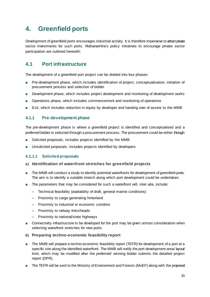# <span id="page-10-0"></span>**4. Greenfield ports**

Development of greenfield ports encourages industrial activity. It is therefore imperative to attract private sector investments for such ports. Maharashtra's policy initiatives to encourage private sector participation are outlined herewith:

# <span id="page-10-1"></span>**4.1 Port infrastructure**

The development of a greenfield port project can be divided into four phases:

- Pre-development phase, which includes identification of project, conceptualisation, initiation of procurement process and selection of bidder
- Development phase, which includes project development and monitoring of development works
- **■** Operations phase, which includes commencement and monitoring of operations
- **■** Exit, which includes reduction in equity by developer and handing over of assets to the MMB

# <span id="page-10-2"></span>**4.1.1 Pre-development phase**

The pre-development phase is where a greenfield project is identified and conceptualised and a preferred bidder is selected through a procurement process. The procurement could be either through:

- Solicited proposals, includes projects identified by the MMB
- Unsolicited proposals, includes projects identified by developers

### <span id="page-10-3"></span>**4.1.1.1 Solicited proposals**

### **a) Identification of waterfront stretches for greenfield projects**

- The MMB will conduct a study to identify potential waterfronts for development of greenfield ports. The aim is to identify a suitable stretch along which port development could be undertaken.
- The parameters that may be considered for such a waterfront will, inter *alia*, include:
	- **‒** Technical feasibility (availability of draft, general marine conditions)
	- **‒** Proximity to cargo generating hinterland
	- **‒** Proximity to industrial or economic corridors
	- **‒** Proximity to railway links/heads
	- **‒** Proximity to national/state highways
- Connectivity infrastructure to be developed for the port may be given utmost consideration when selecting waterfront stretches for new ports.
- **b) Preparing techno-economic feasibility report**
- The MMB will prepare a techno-economic feasibility report (TEFR) for development of a port at a specific site along the identified waterfront. The MMB will notify the port development area/ layout/ limit, which may be modified after the preferred/ winning bidder submits the detailed project report (DPR).
- The TEFR will be sent to the Ministry of Environment and Forests (MoEF) along with the proposed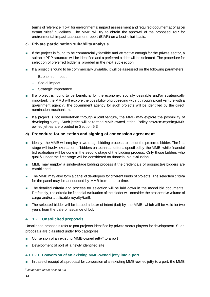terms of reference (ToR) for environmental impact assessment and required documentationas per extant rules/ guidelines. The MMB will try to obtain the approval of the proposed ToR for environmental impact assessment report (EIAR) on a best-effort basis.

### <span id="page-11-0"></span>**c) Private participation suitability analysis**

- If the project is found to be commercially feasible and attractive enough for the private sector, a suitable PPP structure will be identified and a preferred bidder will be selected. The procedure for selection of preferred bidder is provided in the next sub-section.
- If a project is found to be commercially unviable, it will be assessed on the following parameters:
	- **‒** Economic impact
	- **‒** Social impact
	- **‒** Strategic importance
- If a project is found to be beneficial for the economy, socially desirable and/or strategically important, the MMB will explore the possibility of proceeding with it through a joint venture with a government agency. The government agency for such projects will be identified by the direct nomination mechanism.
- If a project is not undertaken through a joint venture, the MMB may explore the possibility of developing a jetty. Such jetties will be termed MMB-owned jetties. Policy provisions regarding MMBowned jetties are provided in Sectio[n 5.3](#page-17-1)

### **d) Procedure for selection and signing of concession agreement**

- Ideally, the MMB will employ a two-stage bidding process to select the preferred bidder. The first stage will involve evaluation of bidders on technical criteria specified by the MMB, while financial bid evaluation will be done in the second stage of the bidding process. Only those bidders who qualify under the first stage will be considered for financial bid evaluation.
- MMB may employ a single-stage bidding process if the credentials of prospective bidders are established.
- The MMB may also form a panel of developers for different kinds of projects. The selection criteria for the panel may be announced by MMB from time to time.
- The detailed criteria and process for selection will be laid down in the model bid documents. Preferably, the criteria for financial evaluation of the bidder will consider the prospective volume of cargo and/or applicable royalty/tariff.
- The selected bidder will be issued a letter of intent (LoI) by the MMB, which will be valid for two years from the date of issuance of LoI.

# **4.1.1.2 Unsolicited proposals**

Unsolicited proposals refer to port projects identified by private sector players for development. Such proposals are classified under two categories:

- Conversion of an existing MMB-owned jetty<sup>5</sup> to a port
- **■** Development of port at a newly identified site

### **4.1.1.2.1 Conversion of an existing MMB-owned jetty into a port**

■ In case of receipt of a proposal for conversion of an existing MMB-owned jetty to a port, the MMB

l *<sup>5</sup> As defined under Section 5.3*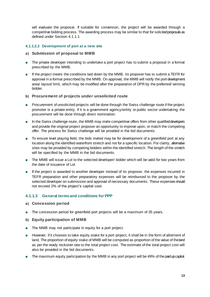will evaluate the proposal. If suitable for conversion, the project will be awarded through a competitive bidding process. The awarding process may be similar to that for solicited proposals as defined under Section [4.1.1.1](#page-10-3)

### **4.1.1.2.2 Development of port at a new site**

#### **a) Submission of proposal to MMB**

- **■** The private developer intending to undertake a port project has to submit a proposal in a format prescribed by the MMB.
- If the project meets the conditions laid down by the MMB, its proposer has to submit a TEFR for approval in a format prescribed by the MMB. On approval, the MMB will notify the port development area/ layout/ limit, which may be modified after the preparation of DPR by the preferred/ winning bidder.

#### **b) Procurement of projects under unsolicited route**

- Procurement of unsolicited projects will be done through the Swiss challenge route if the project promoter is a private entity. If it is a government agency/entity or public sector undertaking, the procurement will be done through direct nomination.
- In the Swiss challenge route, the MMB may invite competitive offers from other qualified developers and provide the original project proposer an opportunity to improve upon, or match the competing offer. The process for Swiss challenge will be provided in the bid documents.
- To ensure level playing field, the bids invited may be for development of a greenfield port at any location along the identified waterfront stretch and not for a specific location. For clarity, alternative sites may be provided by competing bidders within the identified stretch. The length of the stretch will be specified by the MMB in the bid documents.
- The MMB will issue a LoI to the selected developer/ bidder which will be valid for two years from the date of issuance of LoI.
- If the project is awarded to another developer instead of its proposer, the expenses incurred in TEFR preparation and other preparatory expenses will be reimbursed to the proposer by the selected developer on submission and approval of necessary documents. These expenses should not exceed 2% of the project's capital cost.

### **4.1.1.3 General terms and conditions for PPP**

- **a) Concession period**
- The concession period for greenfield port projects will be a maximum of 35 years.
- <span id="page-12-0"></span>**b) Equity participation of MMB**
- **■** The MMB may not participate in equity for a port project.
- However, if it chooses to take equity stake for a port project, it shall be in the form of allotment of land. The proportion of equity stake of MMB will be computed as proportion of the value of the land as per the ready reckoner rate to the total project cost. The estimate of the total project cost will also be provided in the bid documents.
- The maximum equity participation by the MMB in any port project will be 49% of the paid up capital.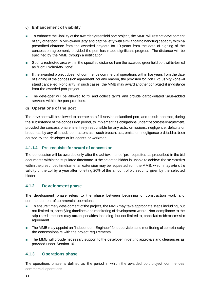#### **c) Enhancement of viability**

- To enhance the viability of the awarded greenfield port project, the MMB will restrict development of any other port, MMB-owned jetty and captive jetty with similar cargo handling capacity within a prescribed distance from the awarded projects for 10 years from the date of signing of the concession agreement, provided the port has made significant progress. The distance will be specified by the MMB through a notification.
- Such a restricted area within the specified distance from the awarded greenfield port will be termed as 'Port Exclusivity Zone'.
- **■** If the awarded project does not commence commercial operations within five years from the date of signing of the concession agreement, for any reason, the provision for Port Exclusivity Zone will stand cancelled. For clarity, in such cases, the MMB may award another port project at any distance from the awarded port project.
- The developer will be allowed to fix and collect tariffs and provide cargo-related value-added services within the port premises.

#### **d) Operations of the port**

The developer will be allowed to operate as a full service or landlord port, and to sub-contract, during the subsistence of the concession period, to implement its obligations under the concession agreement, provided the concessionaire is entirely responsible for any acts, omissions, negligence, defaults or breaches, by any of its sub-contractors as if such breach, act, omission, negligence or default had been caused by the developer or its agents or workmen.

#### **4.1.1.4 Pre-requisite for award of concession**

The concession will be awarded only after the achievement of pre-requisites as prescribed in the bid documents within the stipulated timeframe. If the selected bidder is unable to achieve the pre-requisites within the prescribed timeframe, an extension may be requested from the MMB, which may extend the validity of the LoI by a year after forfeiting 20% of the amount of bid security given by the selected bidder.

### <span id="page-13-0"></span>**4.1.2 Development phase**

The development phase refers to the phase between beginning of construction work and commencement of commercial operations

- To ensure timely development of the project, the MMB may take appropriate steps including, but not limited to, specifying timelines and monitoring of development works. Non-compliance to the stipulated timelines may attract penalties including, but not limited to, cancellation of the concession agreement.
- The MMB may appoint an "Independent Engineer" for supervision and monitoring of compliance by the concessionaire with the project requirements.
- The MMB will provide necessary support to the developer in getting approvals and clearances as provided under Section [10](#page-24-0).

### <span id="page-13-1"></span>**4.1.3 Operations phase**

The operations phase is defined as the period in which the awarded port project commences commercial operations.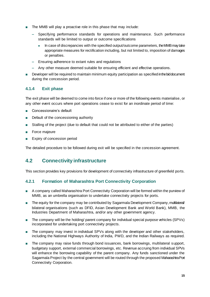- The MMB will play a proactive role in this phase that may include:
	- **‒** Specifying performance standards for operations and maintenance. Such performance standards will be limited to output or outcome specifications
		- In case of discrepancies with the specified output/outcome parameters, the MMB may take appropriate measures for rectification including, but not limited to, imposition of damages or penalties.
	- **‒** Ensuring adherence to extant rules and regulations
	- **‒** Any other measure deemed suitable for ensuring efficient and effective operations.
- Developer will be required to maintain minimum equity participation as specified in the bid document during the concession period.

### <span id="page-14-0"></span>**4.1.4 Exit phase**

The exit phase will be deemed to come into force if one or more of the following events materialise, or any other event occurs where port operations cease to exist for an inordinate period of time:

- **■** Concessionaire's default
- Default of the concessioning authority
- **■** Stalling of the project (due to default that could not be attributed to either of the parties)
- **■** Force majeure
- Expiry of concession period

The detailed procedure to be followed during exit will be specified in the concession agreement.

# <span id="page-14-1"></span>**4.2 Connectivity infrastructure**

This section provides key provisions for development of connectivity infrastructure of greenfield ports.

# <span id="page-14-2"></span>**4.2.1 Formation of Maharashtra Port Connectivity Corporation**

- **■** A company called Maharashtra Port Connectivity Corporation will be formed within the purview of MMB, as an umbrella organisation to undertake connectivity projects for ports.
- The equity for the company may be contributed by Sagarmala Development Company, multilateral/ bilateral organisations (such as DFID, Asian Development Bank and World Bank), MMB, the Industries Department of Maharashtra, and/or any other government agency.
- The company will be the holding/ parent company for individual special purpose vehicles (SPVs) incorporated for undertaking port connectivity projects.
- The company may invest in individual SPVs along with the developer and other stakeholders, including the National Highways Authority of India, PWD, and the Indian Railways as required.
- **■** The company may raise funds through bond issuances, bank borrowings, multilateral support, budgetary support, external commercial borrowings, etc. Revenue accruing from individual SPVs will enhance the borrowing capability of the parent company. Any funds sanctioned under the Sagarmala Project by the central government will be routed through the proposed Maharashtra Port Connectivity Corporation.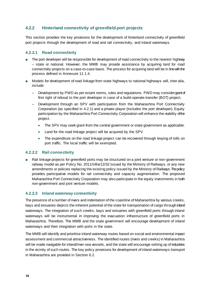# <span id="page-15-0"></span>**4.2.2 Hinterland connectivity of greenfield port projects**

This section provides the key provisions for the development of hinterland connectivity of greenfield port projects through the development of road and rail connectivity, and inland waterways.

### **4.2.2.1 Road connectivity**

- The port developer will be responsible for development of road connectivity to the nearest highway -- state or national. However, the MMB may provide assistance by acquiring land for road connectivity projects on a case-to-case basis. The process for acquiring land will be in line with the process defined in Annexure [11.1.4](#page-28-5).
- Models for development of road linkage from state highways to national highways will, inter alia, include:
	- **‒** Development by PWD as per extant norms, rules and regulations. PWD may consider grant of first right of refusal to the port developer in case of a build-operate-transfer (BOT) project.
	- **‒** Development through an SPV with participation from the Maharashtra Port Connectivity Corporation (as specified in [4.2.1\)](#page-14-2) and a private player (includes the port developer). Equity participation by the Maharashtra Port Connectivity Corporation will enhance the viability of the project.
		- The SPV may seek grant from the central government or state government as applicable.
		- Land for the road linkage project will be acquired by the SPV
		- The expenditure on the road linkage project can be recovered through lewing of tolls on port traffic. The local traffic will be exempted.

### **4.2.2.2 Rail connectivity**

■ Rail linkage projects for greenfield ports may be structured on a joint venture or non-government railway model as per Policy No. 2011/infra/12/32 issued by the Ministry of Railways, or any new amendments or policies replacing the existing policy issued by the Ministry of Railways. The policy provides participative models for rail connectivity and capacity augmentation. The proposed Maharashtra Port Connectivity Corporation may also participate in the equity investments in both non-government and joint venture models.

# **4.2.2.3 Inland waterway connectivity**

The presence of a number of rivers and indentation of the coastline of Maharashtra by various creeks, bays and estuaries depicts the inherent potential of the state for transportation of cargo through inland waterways. The integration of such creeks, bays and estuaries with greenfield ports through inland waterways will be instrumental in improving the evacuation infrastructure of greenfield ports in Maharashtra. Therefore, The MMB and the state government will encourage development of inland waterways and their integration with ports in the state.

The MMB will identify and prioritise inland waterway routes based on social and environmental impact assessment and commercial attractiveness. The identified routes (rivers and creeks) in Maharashtra will be made navigable for inland/river-sea vessels, and the state will encourage setting up of industries in the vicinity of such routes. The key policy provisions for development of inland waterways transport in Maharashtra are provided in Sectio[n 6.2](#page-19-0).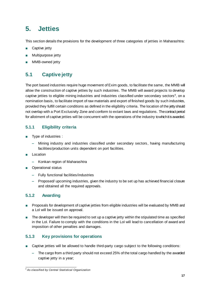# <span id="page-16-0"></span>**5. Jetties**

This section details the provisions for the development of three categories of jetties in Maharashtra:

- **■** Captive jetty
- **■** Multipurpose jetty
- **MMB-owned jetty**

# <span id="page-16-1"></span>**5.1 Captive jetty**

The port based industries require huge movement of Exim goods, to facilitate the same, the MMB will allow the construction of captive jetties by such industries. The MMB will award projects to develop captive jetties to eligible mining industries and industries classified under secondary sectors<sup>6</sup>, on a nomination basis, to facilitate import of raw materials and export of finished goods by such industries, provided they fulfill certain conditions as defined in the eligibility criteria. The location of the jetty should not overlap with a Port Exclusivity Zone and conform to extant laws and regulations. The contract period for allotment of captive jetties will be concurrent with the operations of the industry to which it is awarded.

# <span id="page-16-2"></span>**5.1.1 Eligibility criteria**

- **■** Type of industries :
	- **‒** Mining industry and industries classified under secondary sectors, having manufacturing facilities/production units dependent on port facilities.
- **■** Location
	- **‒** Konkan region of Maharashtra
- **Operational status** 
	- **‒** Fully functional facilities/industries
	- **‒** Proposed/ upcoming industries, given the industry to be set up has achieved financial closure and obtained all the required approvals.

# <span id="page-16-3"></span>**5.1.2 Awarding**

- Proposals for development of captive jetties from eligible industries will be evaluated by MMB and a LoI will be issued on approval.
- The developer will then be required to set up a captive jetty within the stipulated time as specified in the LoI. Failure to comply with the conditions in the LoI will lead to cancellation of award and imposition of other penalties and damages.

# <span id="page-16-4"></span>**5.1.3 Key provisions for operations**

- Captive jetties will be allowed to handle third-party cargo subject to the following conditions:
	- **‒** The cargo from a third party should not exceed 25% of the total cargo handled by the awarded captive jetty in a year;

l *<sup>6</sup> As classified by Central Statistical Organization*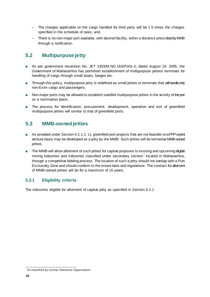- The charges applicable on the cargo handled for third party will be 1.5 times the charges specified in the schedule of rates; and,
- **‒** There is no non-major port available, with desired facility, within a distance prescribed by MMB through a notification.

# <span id="page-17-0"></span>**5.2 Multipurpose jetty**

- **■** As per government resolution No. JET 1303/M.NO.163/Ports-2, dated August 19, 2005, the Government of Maharashtra has permitted establishment of multipurpose jetties/ terminals for handling of cargo through small boats, barges etc.
- Through this policy, multipurpose jetty is redefined as small jetties or terminals that will handle only non-Exim cargo and passengers.
- Non-major ports may be allowed to establish satellite multipurpose jetties in the vicinity of the port on a nomination basis.
- The process for identification, procurement, development, operation and exit of greenfield multipurpose jetties will similar to that of greenfield ports.

# <span id="page-17-1"></span>**5.3 MMB-owned jetties**

- As provided under Section 4.1.1.[1. c\)](#page-11-0), greenfield port projects that are not feasible ona PPP or joint venture basis may be developed as a jetty by the MMB. Such jetties will be termed as MMB-owned jetties.
- The MMB will allow allotment of such jetties for captive purposes to existing and upcoming eligible mining industries and industries classified under secondary sectors<sup>7</sup> located in Maharashtra, through a competitive bidding process. The location of such a jetty should not overlap with a Port Exclusivity Zone and should conform to the extant laws and regulations. The contract for allotment of MMB-owned jetties will be for a maximum of 15 years.

# <span id="page-17-2"></span>**5.3.1 Eligibility criteria**

The industries eligible for allotment of captive jetty as specified in Sec[tion 5.1](#page-16-2).1

l *<sup>7</sup> As classified by Central Statistical Organisation*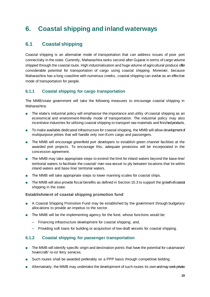# <span id="page-18-0"></span>**6. Coastal shipping and inland waterways**

# <span id="page-18-1"></span>**6.1 Coastal shipping**

Coastal shipping is an alternative mode of transportation that can address issues of poor port connectivity in the state. Currently, Maharashtra ranks second after Gujarat in terms of cargo volume shipped through the coastal route. High industrialisation and huge volume of agricultural produce offer considerable potential for transportation of cargo using coastal shipping. Moreover, because Maharashtra has a long coastline with numerous creeks, coastal shipping can evolve as an effective mode of transportation for people.

# <span id="page-18-2"></span>**6.1.1 Coastal shipping for cargo transportation**

The MMB/state government will take the following measures to encourage coastal shipping in Maharashtra:

- The state's industrial policy will emphasise the importance and utility of coastal shipping as an economical and environment-friendly mode of transportation. The industrial policy may also incentivise industries for utilising coastal shipping to transport raw materials and finished products.
- To make available dedicated infrastructure for coastal shipping, the MMB will allow development of multipurpose jetties that will handle only non-Exim cargo and passengers.
- The MMB will encourage greenfield port developers to establish green channel facilities at the awarded port projects. To encourage this, adequate provisions will be incorporated in the concession agreement.
- The MMB may take appropriate steps to extend the limit for inland waters beyond the base-line/ territorial waters to facilitate the coastal/ river-sea vessel to ply between locations that lie within inland waters and base line/ territorial waters.
- The MMB will take appropriate steps to lower manning scales for coastal ships.
- The MMB will also provide fiscal benefits as defined in Secti[on 10.](#page-26-0)3 to support the growth of coastal shipping in the state.

# **Establishment of coastal shipping promotion fund**

- **■** A Coastal Shipping Promotion Fund may be established by the government through budgetary allocations to provide an impetus to the sector.
- The MMB will be the implementing agency for the fund, whose functions would be:
	- **‒** Financing infrastructure development for coastal shipping; and,
	- **‒** Providing soft loans for building or acquisition of low-draft vessels for coastal shipping.

# <span id="page-18-3"></span>**6.1.2 Coastal shipping for passenger transportation**

- **■** The MMB will identify specific origin and destination points that have the potential for catamaran/ hovercraft/ ro-ro/ ferry services.
- Such routes shall be awarded preferably on a PPP basis through competitive bidding.
- Alternatively, the MMB may undertake the development of such routes its own and may seek private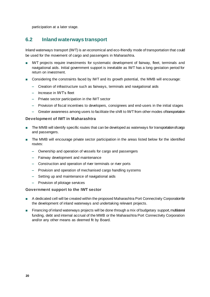participation at a later stage.

# <span id="page-19-0"></span>**6.2 Inland waterways transport**

Inland waterways transport (IWT) is an economical and eco-friendly mode of transportation that could be used for the movement of cargo and passengers in Maharashtra.

- **■** IWT projects require investments for systematic development of fairway, fleet, terminals and navigational aids. Initial government support is inevitable as IWT has a long gestation period for return on investment.
- Considering the constraints faced by IWT and its growth potential, the MMB will encourage:
	- **‒** Creation of infrastructure such as fairways, terminals and navigational aids
	- **‒** Increase in IWT's fleet
	- **‒** Private sector participation in the IWT sector
	- **‒** Provision of fiscal incentives to developers, consignees and end-users in the initial stages
	- **‒** Greater awareness among users to facilitate the shift to IWT from other modes of transportation

#### **Development of IWT in Maharashtra**

- The MMB will identify specific routes that can be developed as waterways for transportation of cargo and passengers.
- **■** The MMB will encourage private sector participation in the areas listed below for the identified routes:
	- **‒** Ownership and operation of vessels for cargo and passengers
	- **‒** Fairway development and maintenance
	- **‒** Construction and operation of river terminals or river ports
	- **‒** Provision and operation of mechanised cargo handling systems
	- **‒** Setting up and maintenance of navigational aids
	- **‒** Provision of pilotage services

### **Government support to the IWT sector**

- A dedicated cell will be created within the proposed Maharashtra Port Connectivity Corporation for the development of inland waterways and undertaking relevant projects.
- Financing of inland waterways projects will be done through a mix of budgetary support, multilateral funding, debt and internal accrual of the MMB or the Maharashtra Port Connectivity Corporation and/or any other means as deemed fit by Board.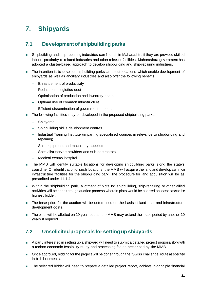# <span id="page-20-0"></span>**7. Shipyards**

# <span id="page-20-1"></span>**7.1 Development of shipbuilding parks**

- **■** Shipbuilding and ship-repairing industries can flourish in Maharashtra if they are provided skilled labour, proximity to related industries and other relevant facilities. Maharashtra government has adopted a cluster-based approach to develop shipbuilding and ship-repairing industries.
- The intention is to develop shipbuilding parks at select locations which enable development of shipyards as well as ancillary industries and also offer the following benefits:
	- **‒** Enhancement of productivity
	- **‒** Reduction in logistics cost
	- **‒** Optimisation of production and inventory costs
	- **‒** Optimal use of common infrastructure
	- **‒** Efficient dissemination of government support
- The following facilities may be developed in the proposed shipbuilding parks:
	- **‒** Shipyards
	- **‒** Shipbuilding skills development centres
	- **‒** Industrial Training Institute (imparting specialised courses in relevance to shipbuilding and repairing)
	- **‒** Ship equipment and machinery suppliers
	- **‒** Specialist service providers and sub-contractors
	- **‒** Medical centre/ hospital
- The MMB will identify suitable locations for developing shipbuilding parks along the state's coastline. On identification of such locations, the MMB will acquire the land and develop common infrastructure facilities for the shipbuilding park. The procedure for land acquisition will be as prescribed unde[r 11.1.4](#page-28-5)
- Within the shipbuilding park, allotment of plots for shipbuilding, ship-repairing or other allied activities will be done through auction process wherein plots would be allotted on lease basis to the highest bidder.
- The base price for the auction will be determined on the basis of land cost and infrastructure development costs.
- The plots will be allotted on 10-year leases; the MMB may extend the lease period by another 10 years if required.

# <span id="page-20-2"></span>**7.2 Unsolicited proposals for setting up shipyards**

- **■** A party interested in setting up a shipyard will need to submit a detailed project proposal along with a techno-economic feasibility study and processing fee as prescribed by the MMB.
- Once approved, bidding for the project will be done through the 'Swiss challenge' route as specified in bid documents.
- **■** The selected bidder will need to prepare a detailed project report, achieve in-principle financial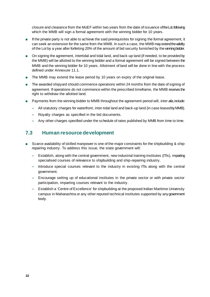closure and clearance from the MoEF within two years from the date of issuance of the LoI, following which the MMB will sign a formal agreement with the winning bidder for 10 years.

- **■** If the private party is not able to achieve the said prerequisites for signing the formal agreement, it can seek an extension for the same from the MMB. In such a case, the MMB may extend the validity of the LoI by a year after forfeiting 20% of the amount of bid security furnished by the winning bidder.
- On signing the agreement, intertidal and tidal land, and back-up land (if needed, to be provided by the MMB) will be allotted to the winning bidder and a formal agreement will be signed between the MMB and the winning bidder for 10 years. Allotment of land will be done in line with the process defined under Annexure [11.1](#page-28-1).
- The MMB may extend the lease period by 10 years on expiry of the original lease.
- The awarded shipyard should commence operations within 24 months from the date of signing of agreement. If operations do not commence within the prescribed timeframe, the MMB reserves the right to withdraw the allotted land.
- Payments from the winning bidder to MMB throughout the agreement period will, *inter alia*, include:
	- **‒** All statutory charges for waterfront, inter-tidal land and back-up land (in case leased by MMB).
	- **‒** Royalty charges as specified in the bid documents.
	- **‒** Any other charges specified under the schedule of rates published by MMB from time to time.

# <span id="page-21-0"></span>**7.3 Human resource development**

- Scarce availability of skilled manpower is one of the major constraints for the shipbuilding & shiprepairing industry. To address this issue, the state government will:
	- **‒** Establish, along with the central government, new industrial training institutes (ITIs), imparting specialised courses of relevance to shipbuilding and ship-repairing industry.
	- **‒** Introduce special courses relevant to the industry in existing ITIs along with the central government.
	- **‒** Encourage setting up of educational institutes in the private sector or with private sector participation, imparting courses relevant to the industry.
	- **‒** Establish a 'Centre of Excellence' for shipbuilding at the proposed Indian Maritime University campus in Maharashtra or any other reputed technical institutes supported by any government body.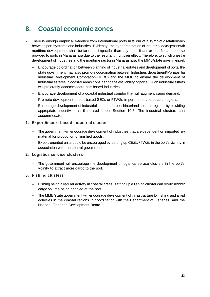# <span id="page-22-0"></span>**8. Coastal economic zones**

- There is enough empirical evidence from international ports in favour of a symbiotic relationship between port systems and industries. Evidently, the synchronisation of industrial development with maritime development shall be far more impactful than any other fiscal or non-fiscal incentive provided to ports in Maharashtra due to the resultant multiplier effect. Therefore, to synchronise the development of industries and the maritime sector in Maharashtra, the MMB/state government will:
	- **‒** Encourage co-ordination between planning of industrial estates and development of ports. The state government may also promote coordination between Industries department/ Maharashtra Industrial Development Corporation (MIDC) and the MMB to ensure the development of industrial estates in coastal areas considering the availability of ports. Such industrial estates will preferably accommodate port-based industries.
	- **‒** Encourage development of a coastal industrial corridor that will augment cargo demand.
	- **‒** Promote development of port-based SEZs or FTWZs in port hinterland coastal regions.
	- **‒** Encourage development of industrial clusters in port hinterland coastal regions by providing appropriate incentives as illustrated under Section [10.5.](#page-27-0) The industrial clusters can accommodate:

#### **1. Export/import-based industrial cluster**

- **‒** The government will encourage development of industries that are dependent on imported raw material for production of finished goods.
- **‒** Export-oriented units could be encouraged by setting up CEZs/FTWZs in the port's vicinity in association with the central government.

#### **2. Logistics service clusters**

**‒** The government will encourage the development of logistics service clusters in the port's vicinity to attract more cargo to the port.

#### **3. Fishing clusters**

- **‒** Fishing being a regular activity in coastal areas, setting up a fishing cluster can result in higher cargo volume being handled at the port.
- **‒** The MMB/state government will encourage development of infrastructure for fishing and allied activities in the coastal regions in coordination with the Department of Fisheries, and the National Fisheries Development Board.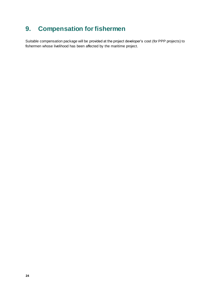# <span id="page-23-0"></span>**9. Compensation for fishermen**

Suitable compensation package will be provided at the project developer's cost (for PPP projects) to fishermen whose livelihood has been affected by the maritime project.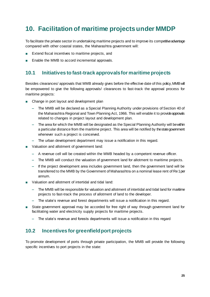# <span id="page-24-0"></span>**10. Facilitation of maritime projects under MMDP**

To facilitate the private sector in undertaking maritime projects and to improve its competitive advantage compared with other coastal states, the Maharashtra government will:

- Extend fiscal incentives to maritime projects, and
- Enable the MMB to accord incremental approvals.

# <span id="page-24-1"></span>**10.1 Initiatives to fast-track approvals for maritime projects**

Besides clearances/ approvals that MMB already gives before the effective date of this policy, MMB will be empowered to give the following approvals/ clearances to fast-track the approval process for maritime projects:

- Change in port layout and development plan
	- **‒** The MMB will be declared as a Special Planning Authority under provisions of Section 40 of the Maharashtra Regional and Town Planning Act, 1966. This will enable it to provide approvals related to changes in project layout and development plan.
	- **‒** The area for which the MMB will be designated as the Special Planning Authority will be within a particular distance from the maritime project. This area will be notified by the state government whenever such a project is conceived.
	- **‒** The urban development department may issue a notification in this regard.
- Valuation and allotment of government land:
	- **‒** A revenue cell will be created within the MMB headed by a competent revenue officer.
	- **‒** The MMB will conduct the valuation of government land for allotment to maritime projects.
	- **‒** If the project development area includes government land, then the government land will be transferred to the MMB by the Government of Maharashtra on a nominal lease rent of Re1 per annum.
- **■** Valuation and allotment of intertidal and tidal land:
	- **‒** The MMB will be responsible for valuation and allotment of intertidal and tidal land for maritime projects to fast-track the process of allotment of land to the developer.
	- **‒** The state's revenue and forest departments will issue a notification in this regard.
- **■** State government approval may be accorded for free right of way through government land for facilitating water and electricity supply projects for maritime projects.
	- **‒** The state's revenue and forests departments will issue a notification in this regard

# <span id="page-24-2"></span>**10.2 Incentives for greenfield port projects**

To promote development of ports through private participation, the MMB will provide the following specific incentives to port projects in the state: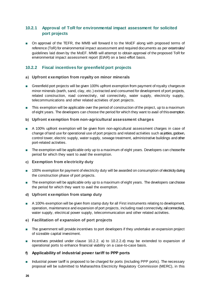# <span id="page-25-0"></span>**10.2.1 Approval of ToR for environmental impact assessment for solicited port projects**

■ On approval of the TEFR, the MMB will forward it to the MoEF along with proposed terms of reference (ToR) for environmental impact assessment and required documents as per extant rules/ guidelines laid down by the MoEF. MMB will attempt to obtain approval of the proposed ToR for environmental impact assessment report (EIAR) on a best-effort basis.

# <span id="page-25-1"></span>**10.2.2 Fiscal incentives for greenfield port projects**

#### <span id="page-25-2"></span>**a) Upfront exemption from royalty on minor minerals**

- Greenfield port projects will be given 100% upfront exemption from payment of royalty charges on minor minerals (earth, sand, clay, etc.) extracted and consumed for development of port projects, related construction, road connectivity, rail connectivity, water supply, electricity supply, telecommunications and other related activities of port projects.
- **■** This exemption will be applicable over the period of construction of the project, up to a maximum of eight years. The developers can choose the period for which they want to avail of thisexemption.

#### **b) Upfront exemption from non-agricultural assessment charges**

- **■** A 100% upfront exemption will be given from non-agricultural assessment charges in case of change of land use for operational use of port projects and related activities such as jetties, godown, control tower, electric supply, water supply, sewage treatment, administrative buildings and other port-related activities.
- The exemption will be applicable only up to a maximum of eight years. Developers can choose the period for which they want to avail the exemption.

### **c) Exemption from electricity duty**

- 100% exemption for payment of electricity duty will be awarded on consumption of electricity during the construction phase of port projects.
- The exemption will be applicable only up to a maximum of eight years. The developers can choose the period for which they want to avail the exemption.

#### <span id="page-25-3"></span>**d) Upfront exemption from stamp duty**

■ A 100% exemption will be given from stamp duty for all First instruments relating to development, operation, maintenance and expansion of port projects, including road connectivity, rail connectivity, water supply, electrical power supply, telecommunication and other related activities.

#### **e) Facilitation of expansion of port projects**

- The government will provide incentives to port developers if they undertake an expansion project of sizeable capital investment.
- Incentives provided under clause 10.2.2. [a\)](#page-25-2) to 10.2.2[.d\)](#page-25-3) may be extended to expansion of operational ports to enhance financial viability on a case-to-case basis.

### **f) Applicability of industrial power tariff to PPP ports**

■ Industrial power tariff is proposed to be charged for ports (including PPP ports). The necessary proposal will be submitted to Maharashtra Electricity Regulatory Commission (MERC), in this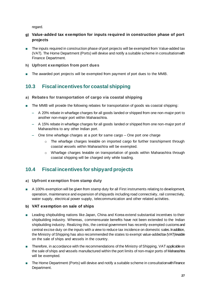regard.

# **g) Value-added tax exemption for inputs required in construction phase of port projects**

- The inputs required in construction phase of port projects will be exempted from Value-added tax (VAT). The Home Department (Ports) will devise and notify a suitable scheme in consultation with Finance Department.
- **h) Upfront exemption from port dues**
- The awarded port projects will be exempted from payment of port dues to the MMB.

# <span id="page-26-0"></span>**10.3 Fiscal incentives for coastal shipping**

# **a) Rebates for transportation of cargo via coastal shipping**

- The MMB will provide the following rebates for transportation of goods via coastal shipping:
	- **‒** A 20% rebate in wharfage charges for all goods landed or shipped from one non-major port to another non-major port within Maharashtra.
	- **‒** A 15% rebate in wharfage charges for all goods landed or shipped from one non-major port of Maharashtra to any other Indian port.
	- **‒** One time wharfage charges at a port for same cargo One port one charge
		- $\circ$  The wharfage charges leviable on imported cargo for further transhipment through coastal vessels within Maharashtra will be exempted.
		- o Wharfage charges leviable on transportation of goods within Maharashtra through coastal shipping will be charged only while loading.

# <span id="page-26-1"></span>**10.4 Fiscal incentives for shipyard projects**

# **a) Upfront exemption from stamp duty**

■ A 100% exemption will be given from stamp duty for all First instruments relating to development, operation, maintenance and expansion of shipyards including road connectivity, rail connectivity, water supply, electrical power supply, telecommunication and other related activities.

# **b) VAT exemption on sale of ships**

- Leading shipbuilding nations like Japan, China and Korea extend substantial incentives to their shipbuilding industry. Whereas, commensurate benefits have not been extended to the Indian shipbuilding industry. Realizing this, the central government has recently exempted customs and central excise duty on the inputs with a view to reduce tax incidence on domestic sales. In addition, the Ministry of Shipping has also recommended the states to exempt value-added tax (VAT)leviable on the sale of ships and vessels in the country.
- **■** Therefore, in accordance with the recommendations of the Ministry of Shipping, VAT applicable on the sale of ships and vessels manufactured within the port limits of non-major ports of Maharashtra will be exempted.
- The Home Department (Ports) will devise and notify a suitable scheme in consultation with Finance Department.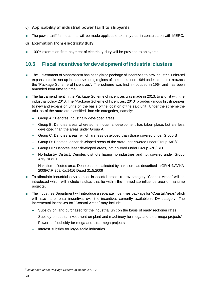- **c) Applicability of industrial power tariff to shipyards**
- The power tariff for industries will be made applicable to shipyards in consultation with MERC.
- **d) Exemption from electricity duty**
- 100% exemption from payment of electricity duty will be provided to shipyards.

# <span id="page-27-0"></span>**10.5 Fiscal incentives for development of industrial clusters**

- The Government of Maharashtra has been giving package of incentives to new industrial units and expansion units set up in the developing regions of the state since 1964 under a scheme known as the "Package Scheme of Incentives". The scheme was first introduced in 1964 and has been amended from time to time.
- The last amendment in the Package Scheme of incentives was made in 2013, to align it with the industrial policy 2013. The "Package Scheme of Incentives, 2013" provides various fiscal incentives to new and expansion units on the basis of the location of the said unit. Under the scheme the talukas of the state are classified into six categories, namely:
	- **‒** Group A : Denotes industrially developed areas
	- **‒** Group B: Denotes areas where some industrial development has taken place, but are less developed than the areas under Group A
	- **‒** Group C: Denotes areas, which are less developed than those covered under Group B
	- **‒** Group D: Denotes lesser-developed areas of the state, not covered under Group A/B/C
	- **‒** Group D+: Denotes least developed areas, not covered under Group A/B/C/D
	- **‒** No Industry District: Denotes districts having no industries and not covered under Group A/B/C/D/D+
	- **‒** Naxalism-affected area: Denotes areas affected by naxalism, as described in GR No NAVIKA-2008/C.R.209/Ka.1416 Dated 31.5.2009
- To stimulate industrial development in coastal areas, a new category "Coastal Areas" will be introduced which will include talukas that lie within the immediate influence area of maritime projects.
- The Industries Department will introduce a separate incentives package for "Coastal Areas", which will have incremental incentives over the incentives currently available to D+ category. The incremental incentives for "Coastal Areas" may include:
	- **‒** Subsidy on land purchased for the industrial unit on the basis of ready reckoner rates
	- **–** Subsidy on capital investment on plant and machinery for mega and ultra-mega projects<sup>8</sup>
	- **‒** Power tariff subsidy for mega and ultra-mega projects
	- **‒** Interest subsidy for large-scale industries

l *<sup>8</sup> As defined under Package Scheme of Incentives, 2013*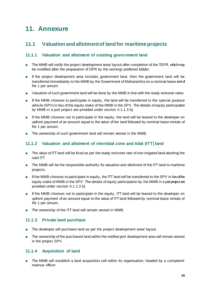# <span id="page-28-0"></span>**11. Annexure**

# <span id="page-28-1"></span>**11.1 Valuation and allotment of land for maritime projects**

# <span id="page-28-2"></span>**11.1.1 Valuation and allotment of existing government land**

- The MMB will notify the project development area/ layout after completion of the TEFR, which may be modified after the preparation of DPR by the winning/ preferred bidder.
- **■** If the project development area includes government land, then the government land will be transferred immediately to the MMB by the Government of Maharashtra on a nominal lease rent of Re 1 per annum.
- Valuation of such government land will be done by the MMB in line with the ready reckoner rates.
- If the MMB chooses to participate in equity, the land will be transferred to the special purpose vehicle (SPV) in lieu of the equity stake of the MMB in the SPV. The details of equity participation by MMB in a port project are provided under section 4.1.[1.3](#page-12-0) b).
- If the MMB chooses not to participate in the equity, the land will be leased to the developer on upfront payment of an amount equal to the value of the land followed by nominal lease rentals of Re 1 per annum.
- The ownership of such government land will remain vested in the MMB.

# <span id="page-28-3"></span>**11.1.2 Valuation and allotment of intertidal zone and tidal (ITT) land**

- The value of ITT land will be fixed as per the ready reckoner rate of non-irrigated land abutting the said ITT.
- The MMB will be the responsible authority for valuation and allotment of the ITT land to maritime projects.
- If the MMB chooses to participate in equity, the ITT land will be transferred to the SPV in lieu of the equity stake of MMB in the SPV. The details of equity participation by the MMB in a port project are provided under section 4.1.1.[3 b\)](#page-12-0).
- If the MMB chooses not to participate in the equity, ITT land will be leased to the developer on upfront payment of an amount equal to the value of ITT land followed by nominal lease rentals of Re 1 per annum.
- The ownership of the ITT land will remain vested in MMB.

# <span id="page-28-4"></span>**11.1.3 Private land purchase**

- The developer will purchase land as per the project development area/ layout.
- The ownership of the purchased land within the notified port development area will remain vested in the project SPV.

# <span id="page-28-5"></span>**11.1.4 Acquisition of land**

■ The MMB will establish a land acquisition cell within its organisation, headed by a competent revenue officer.